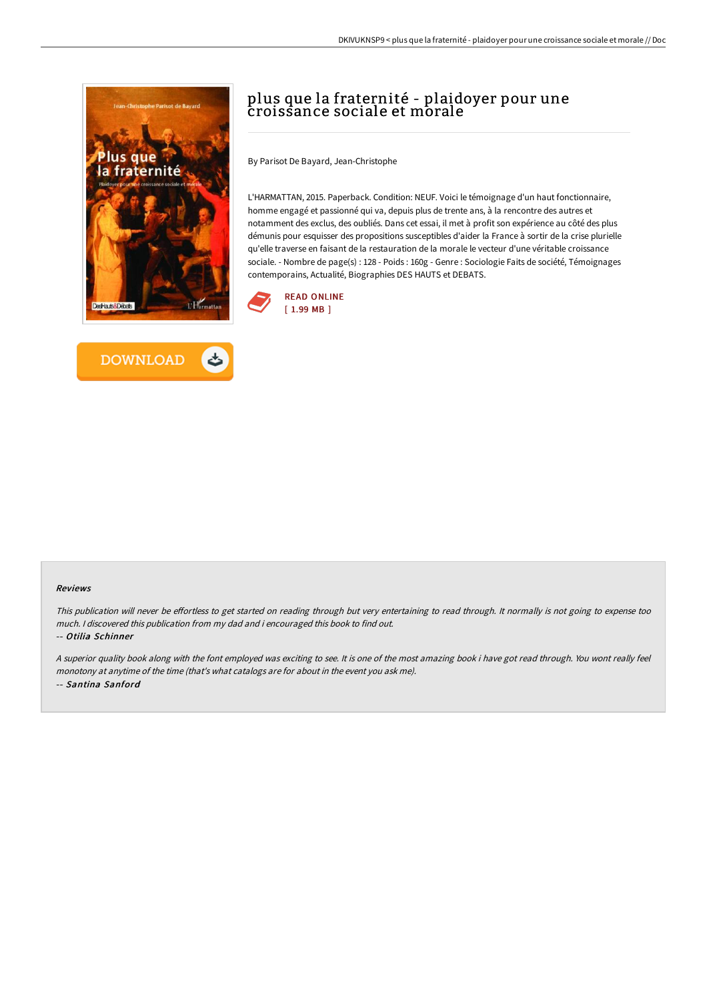



# plus que la fraternité - plaidoyer pour une croissance sociale et morale

By Parisot De Bayard, Jean-Christophe

L'HARMATTAN, 2015. Paperback. Condition: NEUF. Voici le témoignage d'un haut fonctionnaire, homme engagé et passionné qui va, depuis plus de trente ans, à la rencontre des autres et notamment des exclus, des oubliés. Dans cet essai, il met à profit son expérience au côté des plus démunis pour esquisser des propositions susceptibles d'aider la France à sortir de la crise plurielle qu'elle traverse en faisant de la restauration de la morale le vecteur d'une véritable croissance sociale. - Nombre de page(s) : 128 - Poids : 160g - Genre : Sociologie Faits de société, Témoignages contemporains, Actualité, Biographies DES HAUTS et DEBATS.



#### Reviews

This publication will never be effortless to get started on reading through but very entertaining to read through. It normally is not going to expense too much. <sup>I</sup> discovered this publication from my dad and i encouraged this book to find out.

-- Otilia Schinner

<sup>A</sup> superior quality book along with the font employed was exciting to see. It is one of the most amazing book i have got read through. You wont really feel monotony at anytime of the time (that's what catalogs are for about in the event you ask me). -- Santina Sanford